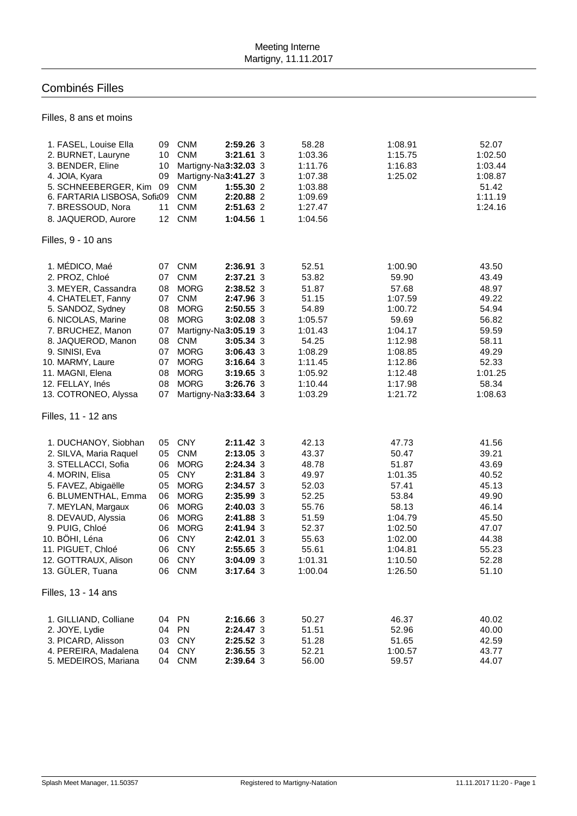## Combinés Filles

Filles, 8 ans et moins

| 1. FASEL, Louise Ella<br>2. BURNET, Lauryne<br>3. BENDER, Eline<br>4. JOIA, Kyara | 09<br>10<br>10<br>09 | <b>CNM</b><br><b>CNM</b><br>Martigny-Na3:32.03 3<br>Martigny-Na3:41.27 3 | 2:59.26 3<br>$3:21.61$ 3 | 58.28<br>1:03.36<br>1:11.76<br>1:07.38 | 1:08.91<br>1:15.75<br>1:16.83<br>1:25.02 | 52.07<br>1:02.50<br>1:03.44<br>1:08.87 |
|-----------------------------------------------------------------------------------|----------------------|--------------------------------------------------------------------------|--------------------------|----------------------------------------|------------------------------------------|----------------------------------------|
| 5. SCHNEEBERGER, Kim<br>6. FARTARIA LISBOSA, Sofia09                              | 09                   | <b>CNM</b><br><b>CNM</b>                                                 | 1:55.30 2<br>2:20.88 2   | 1:03.88<br>1:09.69                     |                                          | 51.42<br>1:11.19                       |
| 7. BRESSOUD, Nora                                                                 | 11                   | <b>CNM</b>                                                               | 2:51.63 2                | 1:27.47                                |                                          | 1:24.16                                |
| 8. JAQUEROD, Aurore                                                               | 12                   | <b>CNM</b>                                                               | 1:04.56 1                | 1:04.56                                |                                          |                                        |
| Filles, 9 - 10 ans                                                                |                      |                                                                          |                          |                                        |                                          |                                        |
| 1. MÉDICO, Maé                                                                    | 07                   | <b>CNM</b>                                                               | 2:36.91 3                | 52.51                                  | 1:00.90                                  | 43.50                                  |
| 2. PROZ, Chloé                                                                    | 07                   | <b>CNM</b>                                                               | 2:37.21 3                | 53.82                                  | 59.90                                    | 43.49                                  |
| 3. MEYER, Cassandra                                                               | 08                   | <b>MORG</b>                                                              | 2:38.52 3                | 51.87                                  | 57.68                                    | 48.97                                  |
| 4. CHATELET, Fanny                                                                | 07                   | <b>CNM</b>                                                               | 2:47.96 3                | 51.15                                  | 1:07.59                                  | 49.22                                  |
| 5. SANDOZ, Sydney                                                                 | 08                   | <b>MORG</b>                                                              | 2:50.55 3                | 54.89                                  | 1:00.72                                  | 54.94                                  |
| 6. NICOLAS, Marine                                                                | 08                   | <b>MORG</b>                                                              | 3:02.08 3                | 1:05.57                                | 59.69                                    | 56.82                                  |
| 7. BRUCHEZ, Manon                                                                 | 07                   | Martigny-Na3:05.19 3                                                     |                          | 1:01.43                                | 1:04.17                                  | 59.59                                  |
| 8. JAQUEROD, Manon                                                                | 08<br>07             | <b>CNM</b><br><b>MORG</b>                                                | 3:05.34 3                | 54.25<br>1:08.29                       | 1:12.98                                  | 58.11<br>49.29                         |
| 9. SINISI, Eva<br>10. MARMY, Laure                                                | 07                   | <b>MORG</b>                                                              | 3:06.43 3<br>$3:16.64$ 3 | 1:11.45                                | 1:08.85<br>1:12.86                       | 52.33                                  |
| 11. MAGNI, Elena                                                                  | 08                   | <b>MORG</b>                                                              | 3:19.65 3                | 1:05.92                                | 1:12.48                                  | 1:01.25                                |
| 12. FELLAY, Inés                                                                  | 08                   | <b>MORG</b>                                                              | 3:26.76 3                | 1:10.44                                | 1:17.98                                  | 58.34                                  |
| 13. COTRONEO, Alyssa                                                              | 07                   | Martigny-Na3:33.64 3                                                     |                          | 1:03.29                                | 1:21.72                                  | 1:08.63                                |
| Filles, 11 - 12 ans                                                               |                      |                                                                          |                          |                                        |                                          |                                        |
| 1. DUCHANOY, Siobhan                                                              | 05                   | <b>CNY</b>                                                               | $2:11.42 \;3$            | 42.13                                  | 47.73                                    | 41.56                                  |
| 2. SILVA, Maria Raquel                                                            | 05                   | <b>CNM</b>                                                               | 2:13.05 3                | 43.37                                  | 50.47                                    | 39.21                                  |
| 3. STELLACCI, Sofia                                                               | 06                   | <b>MORG</b>                                                              | 2:24.34 3                | 48.78                                  | 51.87                                    | 43.69                                  |
| 4. MORIN, Elisa                                                                   | 05                   | <b>CNY</b>                                                               | 2:31.84 3                | 49.97                                  | 1:01.35                                  | 40.52                                  |
| 5. FAVEZ, Abigaëlle                                                               | 05                   | <b>MORG</b>                                                              | 2:34.57 3                | 52.03                                  | 57.41                                    | 45.13                                  |
| 6. BLUMENTHAL, Emma                                                               | 06                   | <b>MORG</b>                                                              | 2:35.99 3                | 52.25                                  | 53.84                                    | 49.90                                  |
| 7. MEYLAN, Margaux                                                                | 06                   | <b>MORG</b>                                                              | 2:40.03 3                | 55.76                                  | 58.13                                    | 46.14                                  |
| 8. DEVAUD, Alyssia                                                                | 06                   | <b>MORG</b>                                                              | 2:41.88 3                | 51.59                                  | 1:04.79                                  | 45.50                                  |
| 9. PUIG, Chloé                                                                    | 06                   | <b>MORG</b>                                                              | 2:41.94 3                | 52.37                                  | 1:02.50                                  | 47.07                                  |
| 10. BÖHI, Léna<br>11. PIGUET, Chloé                                               | 06<br>06             | <b>CNY</b><br><b>CNY</b>                                                 | $2:42.01$ 3<br>2:55.65 3 | 55.63                                  | 1:02.00                                  | 44.38<br>55.23                         |
| 12. GOTTRAUX, Alison                                                              | 06                   | <b>CNY</b>                                                               | 3:04.09 3                | 55.61<br>1:01.31                       | 1:04.81<br>1:10.50                       | 52.28                                  |
| 13. GÜLER, Tuana                                                                  |                      | 06 CNM                                                                   | 3:17.64 3                | 1:00.04                                | 1:26.50                                  | 51.10                                  |
| Filles, 13 - 14 ans                                                               |                      |                                                                          |                          |                                        |                                          |                                        |
|                                                                                   |                      |                                                                          |                          |                                        |                                          |                                        |
| 1. GILLIAND, Colliane                                                             |                      | 04 PN<br>04 PN                                                           | 2:16.66 3                | 50.27                                  | 46.37                                    | 40.02                                  |
| 2. JOYE, Lydie<br>3. PICARD, Alisson                                              | 03                   | <b>CNY</b>                                                               | 2:24.47 3                | 51.51                                  | 52.96                                    | 40.00                                  |
| 4. PEREIRA, Madalena                                                              | 04                   | <b>CNY</b>                                                               | 2:25.52 3<br>2:36.55 3   | 51.28<br>52.21                         | 51.65<br>1:00.57                         | 42.59<br>43.77                         |
| 5. MEDEIROS, Mariana                                                              |                      | 04 CNM                                                                   | 2:39.64 3                | 56.00                                  | 59.57                                    | 44.07                                  |